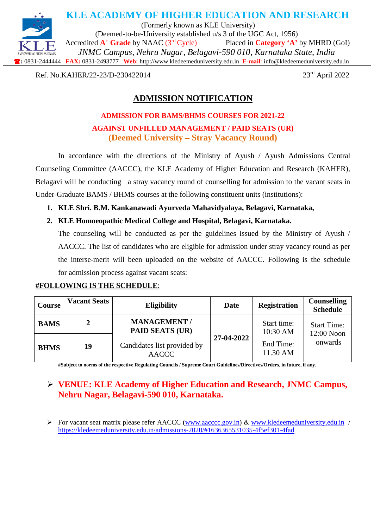

Ref. No.KAHER/22-23/D-230422014

# **ADMISSION NOTIFICATION**

## **ADMISSION FOR BAMS/BHMS COURSES FOR 2021-22 AGAINST UNFILLED MANAGEMENT / PAID SEATS (UR) (Deemed University – Stray Vacancy Round)**

In accordance with the directions of the Ministry of Ayush / Ayush Admissions Central Counseling Committee (AACCC), the KLE Academy of Higher Education and Research (KAHER), Belagavi will be conducting a stray vacancy round of counselling for admission to the vacant seats in Under-Graduate BAMS / BHMS courses at the following constituent units (institutions):

### **1. KLE Shri. B.M. Kankanawadi Ayurveda Mahavidyalaya, Belagavi, Karnataka,**

### **2. KLE Homoeopathic Medical College and Hospital, Belagavi, Karnataka.**

The counseling will be conducted as per the guidelines issued by the Ministry of Ayush / AACCC. The list of candidates who are eligible for admission under stray vacancy round as per the interse-merit will been uploaded on the website of AACCC. Following is the schedule for admission process against vacant seats:

| <b>Course</b> | <b>Vacant Seats</b> | <b>Eligibility</b>                                                                           | Date       | <b>Registration</b>     | <b>Counselling</b><br><b>Schedule</b> |
|---------------|---------------------|----------------------------------------------------------------------------------------------|------------|-------------------------|---------------------------------------|
| <b>BAMS</b>   |                     | <b>MANAGEMENT /</b><br><b>PAID SEATS (UR)</b><br>Candidates list provided by<br><b>AACCC</b> | 27-04-2022 | Start time:<br>10:30 AM | <b>Start Time:</b><br>12:00 Noon      |
| <b>BHMS</b>   | 19                  |                                                                                              |            | End Time:<br>11.30 AM   | onwards                               |

### **#FOLLOWING IS THE SCHEDULE**:

**#Subject to norms of the respective Regulating Councils / Supreme Court Guidelines/Directives/Orders, in future, if any.**

## **VENUE: KLE Academy of Higher Education and Research, JNMC Campus, Nehru Nagar, Belagavi-590 010, Karnataka.**

For vacant seat matrix please refer AACCC [\(www.aacccc.gov.in\)](http://www.aacccc.gov.in/) & [www.kledeemeduniversity.edu.in](http://www.kledeemeduniversity.edu.in/) / <https://kledeemeduniversity.edu.in/admissions-2020/#1636365531035-4f5ef301-4fad>